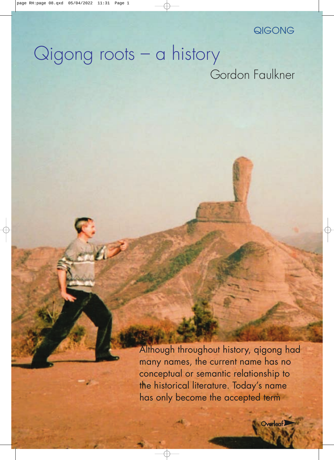# QIGONG

# Qigong roots – a history Gordon Faulkner

Although throughout history, qigong had many names, the current name has no conceptual or semantic relationship to the historical literature. Today's name has only become the accepted term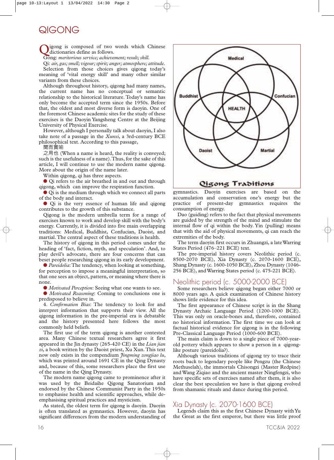# QIGONG

igong is composed of two words which Chinese dictionaries define as follows.

Gong: *meritorious service; achievement; result; skill.*

Qi: *air, gas; smell; vigour; spirit; anger; atmosphere; attitude.* Selection from those choices gives qigong today's meaning of 'vital energy skill' and many other similar variants from these choices.

Although throughout history, qigong had many names, the current name has no conceptual or semantic relationship to the historical literature. Today's name has only become the accepted term since the 1950s. Before that, the oldest and most diverse form is daoyin. One of the foremost Chinese academic sites for the study of these exercises is the Daoyin Yangsheng Centre at the Beijing University of Physical Exercise.

However, although I personally talk about daoyin, I also take note of a passage in the *Xunxi*, a 3rd-century BCE philosophical text. According to this passage,

聞而實喻

之用也 (When a name is heard, the reality is conveyed; such is the usefulness of a name).Thus, for the sake of this article, I will continue to use the modern name qigong. More about the origin of the name later.

Within qigong, qi has three aspects.

**●** Qi refers to the air breathed in and out and through qigong, which can improve the respiration function.

**●** Qi is the medium through which we connect all parts of the body and interact.

**●** Qi is the very essence of human life and qigong contributes to the growth of this substance.

Qigong is the modern umbrella term for a range of exercises known to work and develop skill with the body's energy. Currently, it is divided into five main overlapping traditions: Medical, Buddhist, Confucian, Daoist, and martial.The central aspect of these traditions is health.

The history of qigong in this period comes under the heading of 'fact, fiction, myth, and speculation'. And, to play devil's advocate, there are four concerns that can beset people researching qigong in its early development.

**●** *Pareidolia*:The tendency, when looking at something, for perception to impose a meaningful interpretation, so that one sees an object, pattern, or meaning where there is none.

**●** *Motivated Perception*: Seeing what one wants to see.

**●** *Motivated Reasoning*: Coming to conclusions one is predisposed to believe in.

4. *Confirmation Bias*: The tendency to look for and interpret information that supports their view. All the qigong information in the pre-imperial era is debatable and the history presented here follows the most commonly held beliefs.

The first use of the term qigong is another contested area. Many Chinese textual researchers agree it first appeared in the Jin dynasty (265-420 CE) in the *Lian jian zi*, a book written by the Daoist priest, Xu Xun.This text now only exists in the compendium *Jingming zongjiao lu*, which was printed around 1691 CE in the Oing Dynasty and, because of this, some researchers place the first use of the name in the Qing Dynasty.

The modern name qigong came to prominence after it was used by the Beidaihe Qigong Sanatorium and endorsed by the Chinese Communist Party in the 1950s to emphasise health and scientific approaches, while deemphasising spiritual practices and mysticism.

As stated, the oldest term for qigong is daoyin. Daoyin is often translated as gymnastics. However, daoyin has significant differences from the modern understanding of



gymnastics. Daoyin exercises are based on the accumulation and conservation one's energy but the practice of present-day gymnastics requires the consumption of energy.

Dao (guiding) refers to the fact that physical movements are guided by the strength of the mind and stimulate the internal flow of qi within the body. Yin (pulling) means that with the aid of physical movements, qi can reach the extremities of the body.

The term daoyin first occurs in Zhuangzi, a lateWarring States Period (476–221 BCE) text.

The pre-imperial history covers Neolithic period (c. 8500-2070 BCE), Xia Dynasty (c. 2070-1600 BCE), Shang Dynasty (c. 1600-1050 BCE), Zhou Dynasty (1046- 256 BCE), andWarring States period (c. 475-221 BCE).

### Neolithic period (c. 5000-2000 BCE)

Some researchers believe qigong began either 7000 or 8000 years ago. A quick examination of Chinese history shows little evidence for this idea.

The first appearance of Chinese script is in the Shang Dynasty Archaic Language Period (1200-1000 BCE). This was only on oracle-bones and, therefore, contained no historical information. The first time we can look at factual historical evidence for qigong is in the following Pre-Classical Language Period (1000-600 BCE).

The main claim is down to a single piece of 7000-yearold pottery which appears to show a person in a qigonglike posture (pareidolia?).

Although various traditions of qigong try to trace their roots back to legendary people like Pengzu (the Chinese Methuselah), the immortals Chisongzi (Master Redpine) and Wang Ziqiao and the ancient master Ningfengzi, who have specific sets of exercises named after them, it is also clear the best speculation we have is that qigong evolved from shamanic rituals and dance during this period.

## Xia Dynasty (c. 2070-1600 BCE)

Legends claim this as the first Chinese Dynasty with Yu the Great as the first emperor, but there was little proof